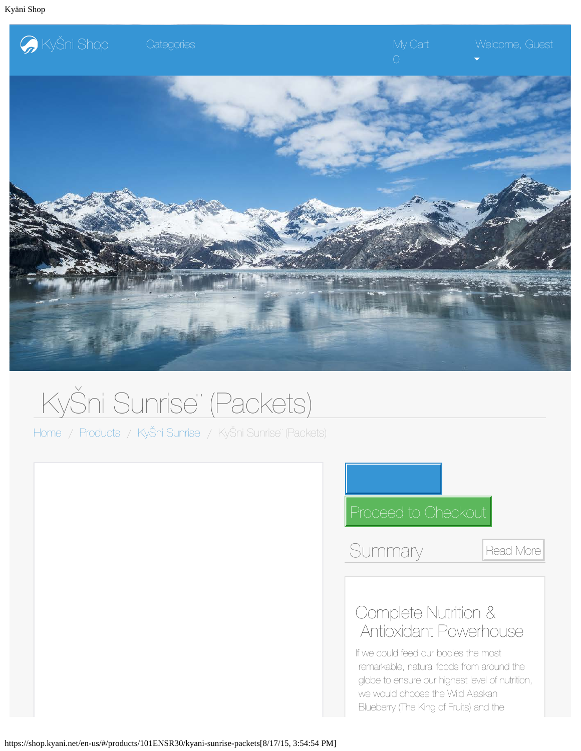<span id="page-0-0"></span>

# KyŠni Sunrise" (Packets)

[Home](#page-0-0) / [Products](#page-0-0) / KyŠni Sunrise / KyŠni Sunrise" (Packets)

| <b>Proceed to Checkout</b>                                                                                                                                                                                         |           |
|--------------------------------------------------------------------------------------------------------------------------------------------------------------------------------------------------------------------|-----------|
| Summary                                                                                                                                                                                                            | Read More |
| Complete Nutrition &<br>Antioxidant Powerhouse                                                                                                                                                                     |           |
| If we could feed our bodies the most<br>remarkable, natural foods from around the<br>globe to ensure our highest level of nutrition,<br>we would choose the Wild Alaskan<br>Blueberry (The King of Fruits) and the |           |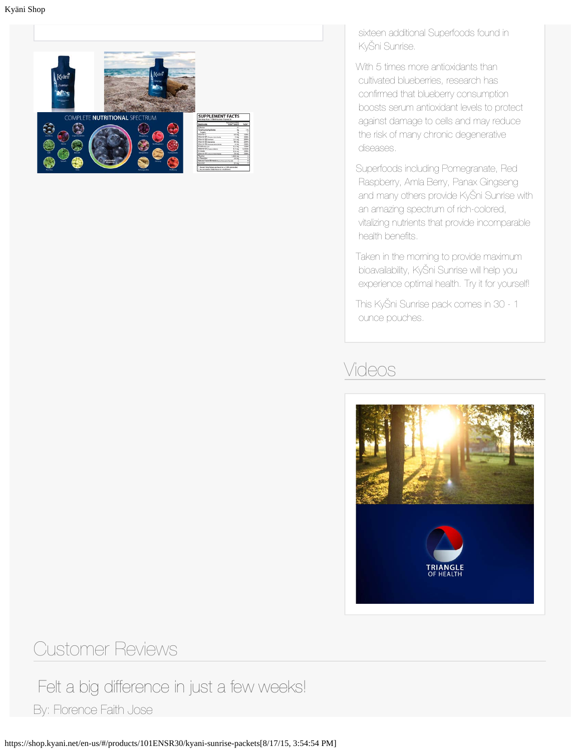

 sixteen additional Superfoods found in Kyäni Sunrise.

With 5 times more antioxidants than cultivated blueberries, research has confirmed that blueberry consumption boosts serum antioxidant levels to protect against damage to cells and may reduce the risk of many chronic degenerative diseases.

Superfoods including Pomegranate, Red Raspberry, Amla Berry, Panax Gingseng and many others provide Kyäni Sunrise with an amazing spectrum of rich-colored, vitalizing nutrients that provide incomparable health benefits.

Taken in the morning to provide maximum bioavailability, Kyäni Sunrise will help you experience optimal health. Try it for yourself!

This Kyäni Sunrise pack comes in 30 - 1 ounce pouches.

## Videos



#### Customer Reviews

Felt a big difference in just a few weeks!

By: Florence Faith Jose